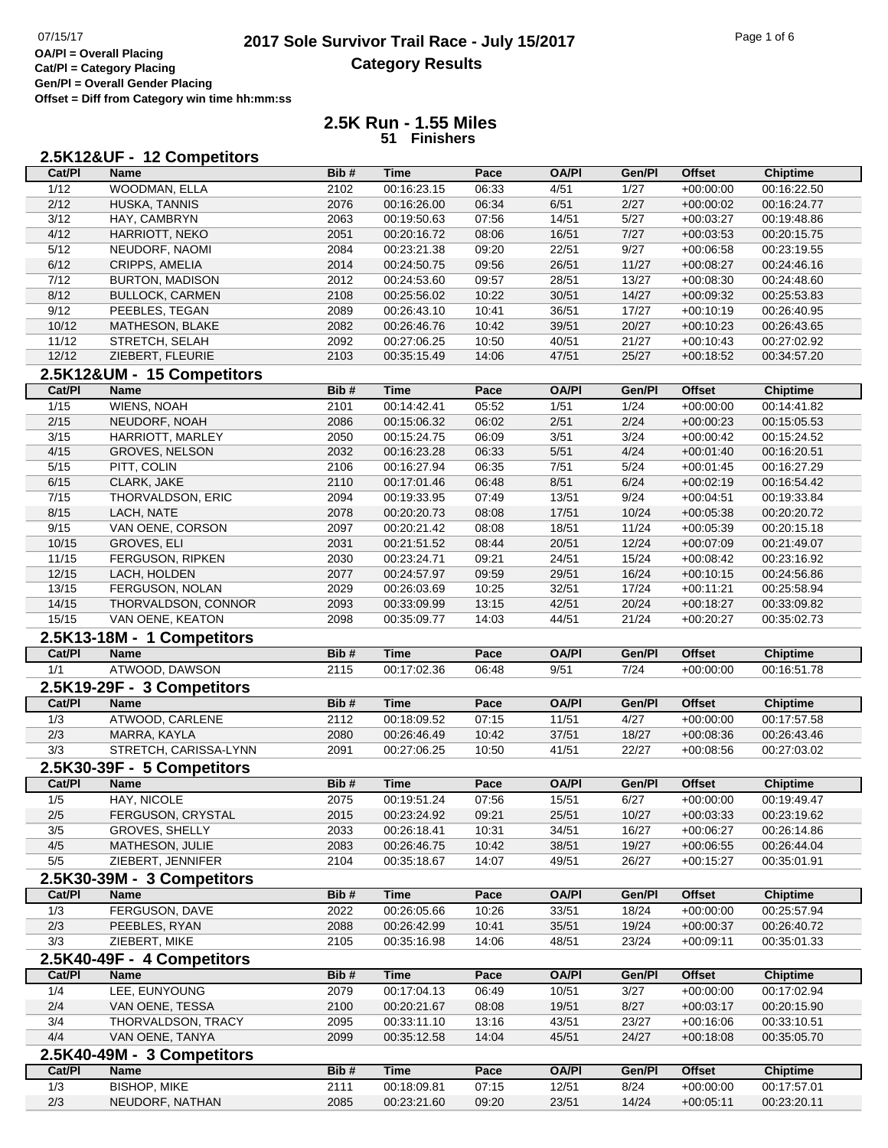## 07/15/17<br>**2017 Sole Survivor Trail Race - July 15/2017** Page 1 of 6<br>**OA/PI** = Overall Placing **Category Results**

**Cat/Pl = Category Placing Gen/Pl = Overall Gender Placing Offset = Diff from Category win time hh:mm:ss**

## **2.5K Run - 1.55 Miles 51 Finishers**

|                | 2.5K12&UF - 12 Competitors |      |             |       |              |        |               |                 |
|----------------|----------------------------|------|-------------|-------|--------------|--------|---------------|-----------------|
| Cat/Pl         | <b>Name</b>                | Bib# | <b>Time</b> | Pace  | <b>OA/PI</b> | Gen/Pl | <b>Offset</b> | <b>Chiptime</b> |
| 1/12           | <b>WOODMAN, ELLA</b>       | 2102 | 00:16:23.15 | 06:33 | 4/51         | 1/27   | $+00:00:00$   | 00:16:22.50     |
| 2/12           | HUSKA, TANNIS              | 2076 | 00:16:26.00 | 06:34 | 6/51         | 2/27   | $+00:00:02$   | 00:16:24.77     |
| 3/12           | HAY, CAMBRYN               | 2063 | 00:19:50.63 | 07:56 | 14/51        | 5/27   | $+00:03:27$   | 00:19:48.86     |
| 4/12           | HARRIOTT, NEKO             | 2051 | 00:20:16.72 | 08:06 | 16/51        | 7/27   | $+00:03:53$   | 00:20:15.75     |
| 5/12           | NEUDORF, NAOMI             | 2084 | 00:23:21.38 | 09:20 | 22/51        | 9/27   | $+00:06:58$   | 00:23:19.55     |
| 6/12           | CRIPPS, AMELIA             | 2014 | 00:24:50.75 | 09:56 | 26/51        | 11/27  | $+00:08:27$   | 00:24:46.16     |
| 7/12           | <b>BURTON, MADISON</b>     | 2012 | 00:24:53.60 | 09:57 | 28/51        | 13/27  | $+00:08:30$   | 00:24:48.60     |
| 8/12           | <b>BULLOCK, CARMEN</b>     | 2108 | 00:25:56.02 | 10:22 | 30/51        | 14/27  | $+00:09:32$   | 00:25:53.83     |
| 9/12           | PEEBLES, TEGAN             | 2089 | 00:26:43.10 | 10:41 | 36/51        | 17/27  | $+00:10:19$   | 00:26:40.95     |
| 10/12          | MATHESON, BLAKE            | 2082 | 00:26:46.76 | 10:42 | 39/51        | 20/27  | $+00:10:23$   | 00:26:43.65     |
| 11/12          | STRETCH, SELAH             | 2092 | 00:27:06.25 | 10:50 | 40/51        | 21/27  | $+00:10:43$   | 00:27:02.92     |
| 12/12          | ZIEBERT, FLEURIE           | 2103 | 00:35:15.49 | 14:06 | 47/51        | 25/27  | $+00:18:52$   | 00:34:57.20     |
|                | 2.5K12&UM - 15 Competitors |      |             |       |              |        |               |                 |
| Cat/PI         | Name                       | Bib# | <b>Time</b> | Pace  | <b>OA/PI</b> | Gen/Pl | <b>Offset</b> | <b>Chiptime</b> |
| $\frac{1}{15}$ | <b>WIENS, NOAH</b>         | 2101 | 00:14:42.41 | 05:52 | 1/51         | 1/24   | $+00:00:00$   | 00:14:41.82     |
| 2/15           | NEUDORF, NOAH              | 2086 | 00:15:06.32 | 06:02 | 2/51         | 2/24   | $+00:00:23$   | 00:15:05.53     |
| 3/15           | HARRIOTT, MARLEY           | 2050 | 00:15:24.75 | 06:09 | 3/51         | 3/24   | $+00:00:42$   | 00:15:24.52     |
| 4/15           | <b>GROVES, NELSON</b>      | 2032 | 00:16:23.28 | 06:33 | 5/51         | 4/24   | $+00:01:40$   | 00:16:20.51     |
| $5/15$         | PITT, COLIN                | 2106 | 00:16:27.94 | 06:35 | 7/51         | 5/24   | $+00:01:45$   | 00:16:27.29     |
| 6/15           | CLARK, JAKE                | 2110 | 00:17:01.46 | 06:48 | 8/51         | 6/24   | $+00:02:19$   | 00:16:54.42     |
| 7/15           | THORVALDSON, ERIC          | 2094 | 00:19:33.95 | 07:49 | 13/51        | 9/24   | $+00:04:51$   | 00:19:33.84     |
| 8/15           | LACH, NATE                 | 2078 | 00:20:20.73 | 08:08 | 17/51        | 10/24  | $+00:05:38$   | 00:20:20.72     |
| 9/15           | VAN OENE, CORSON           | 2097 | 00:20:21.42 | 08:08 | 18/51        | 11/24  | $+00:05:39$   | 00:20:15.18     |
| 10/15          | GROVES, ELI                | 2031 | 00:21:51.52 | 08:44 | 20/51        | 12/24  | $+00:07:09$   | 00:21:49.07     |
| 11/15          | FERGUSON, RIPKEN           | 2030 | 00:23:24.71 | 09:21 | 24/51        | 15/24  | $+00:08:42$   | 00:23:16.92     |
| 12/15          | LACH, HOLDEN               | 2077 | 00:24:57.97 | 09:59 | 29/51        | 16/24  | $+00:10:15$   | 00:24:56.86     |
| 13/15          | FERGUSON, NOLAN            | 2029 | 00:26:03.69 | 10:25 | 32/51        | 17/24  | $+00:11:21$   | 00:25:58.94     |
| 14/15          | THORVALDSON, CONNOR        | 2093 | 00:33:09.99 | 13:15 | 42/51        | 20/24  | $+00:18:27$   | 00:33:09.82     |
| 15/15          | VAN OENE, KEATON           | 2098 | 00:35:09.77 | 14:03 | 44/51        | 21/24  | $+00:20:27$   | 00:35:02.73     |
|                | 2.5K13-18M - 1 Competitors |      |             |       |              |        |               |                 |
| Cat/PI         | <b>Name</b>                | Bib# | <b>Time</b> | Pace  | <b>OA/PI</b> | Gen/Pl | <b>Offset</b> | <b>Chiptime</b> |
| 1/1            | ATWOOD, DAWSON             | 2115 | 00:17:02.36 | 06:48 | 9/51         | 7/24   | $+00:00:00$   | 00:16:51.78     |
|                | 2.5K19-29F - 3 Competitors |      |             |       |              |        |               |                 |
| Cat/PI         | <b>Name</b>                | Bib# | <b>Time</b> | Pace  | <b>OA/PI</b> | Gen/Pl | <b>Offset</b> | <b>Chiptime</b> |
| 1/3            | ATWOOD, CARLENE            | 2112 | 00:18:09.52 | 07:15 | 11/51        | 4/27   | $+00:00:00$   | 00:17:57.58     |
| 2/3            | MARRA, KAYLA               | 2080 | 00:26:46.49 | 10:42 | 37/51        | 18/27  | $+00:08:36$   | 00:26:43.46     |
| 3/3            | STRETCH, CARISSA-LYNN      | 2091 | 00:27:06.25 | 10:50 | 41/51        | 22/27  | $+00:08:56$   | 00:27:03.02     |
|                | 2.5K30-39F - 5 Competitors |      |             |       |              |        |               |                 |
| Cat/PI         | <b>Name</b>                | Bib# | <b>Time</b> | Pace  | <b>OA/PI</b> | Gen/Pl | <b>Offset</b> | Chiptime        |
| 1/5            | HAY, NICOLE                | 2075 | 00:19:51.24 | 0/56  | 15/51        | 6/27   | $+00:00:00$   | 00:19:49.47     |
| 2/5            | FERGUSON, CRYSTAL          | 2015 | 00:23:24.92 | 09:21 | 25/51        | 10/27  | $+00:03:33$   | 00:23:19.62     |
| 3/5            | <b>GROVES, SHELLY</b>      | 2033 | 00:26:18.41 | 10:31 | 34/51        | 16/27  | $+00:06:27$   | 00:26:14.86     |
| 4/5            | MATHESON, JULIE            | 2083 | 00:26:46.75 | 10:42 | 38/51        | 19/27  | $+00:06:55$   | 00:26:44.04     |
| 5/5            | ZIEBERT, JENNIFER          | 2104 | 00:35:18.67 | 14:07 | 49/51        | 26/27  | $+00:15:27$   | 00:35:01.91     |
|                | 2.5K30-39M - 3 Competitors |      |             |       |              |        |               |                 |
| Cat/PI         | <b>Name</b>                | Bib# | <b>Time</b> | Pace  | <b>OA/PI</b> | Gen/Pl | <b>Offset</b> | <b>Chiptime</b> |
| 1/3            | FERGUSON, DAVE             | 2022 | 00:26:05.66 | 10:26 | 33/51        | 18/24  | $+00:00:00$   | 00:25:57.94     |
| 2/3            | PEEBLES, RYAN              | 2088 | 00:26:42.99 | 10:41 | 35/51        | 19/24  | $+00:00:37$   | 00:26:40.72     |

| 2.5K40-49F - 4 Competitors |                     |      |             |       |              |        |               |                 |
|----------------------------|---------------------|------|-------------|-------|--------------|--------|---------------|-----------------|
| Cat/PI                     | <b>Name</b>         | Bib# | <b>Time</b> | Pace  | <b>OA/PI</b> | Gen/Pl | <b>Offset</b> | <b>Chiptime</b> |
| 1/4                        | LEE. EUNYOUNG       | 2079 | 00:17:04.13 | 06:49 | 10/51        | 3/27   | $+00:00:00$   | 00:17:02.94     |
| 2/4                        | VAN OENE. TESSA     | 2100 | 00:20:21.67 | 08:08 | 19/51        | 8/27   | $+00:03:17$   | 00:20:15.90     |
| 3/4                        | THORVALDSON, TRACY  | 2095 | 00:33:11.10 | 13:16 | 43/51        | 23/27  | $+00.16.06$   | 00:33:10.51     |
| 4/4                        | VAN OENE, TANYA     | 2099 | 00:35:12.58 | 14:04 | 45/51        | 24/27  | $+00.18.08$   | 00:35:05.70     |
| 2.5K40-49M - 3 Competitors |                     |      |             |       |              |        |               |                 |
| Cat/PI                     | <b>Name</b>         | Bib# | <b>Time</b> | Pace  | <b>OA/PI</b> | Gen/Pl | <b>Offset</b> | <b>Chiptime</b> |
| 1/3                        | <b>BISHOP, MIKE</b> | 2111 | 00:18:09.81 | 07:15 | 12/51        | 8/24   | $+00:00:00$   | 00:17:57.01     |
| 2/3                        | NEUDORF, NATHAN     | 2085 | 00:23:21.60 | 09:20 | 23/51        | 14/24  | $+00.05.11$   | 00:23:20.11     |

3/3 ZIEBERT, MIKE 2105 00:35:16.98 14:06 48/51 23/24 +00:09:11 00:35:01.33